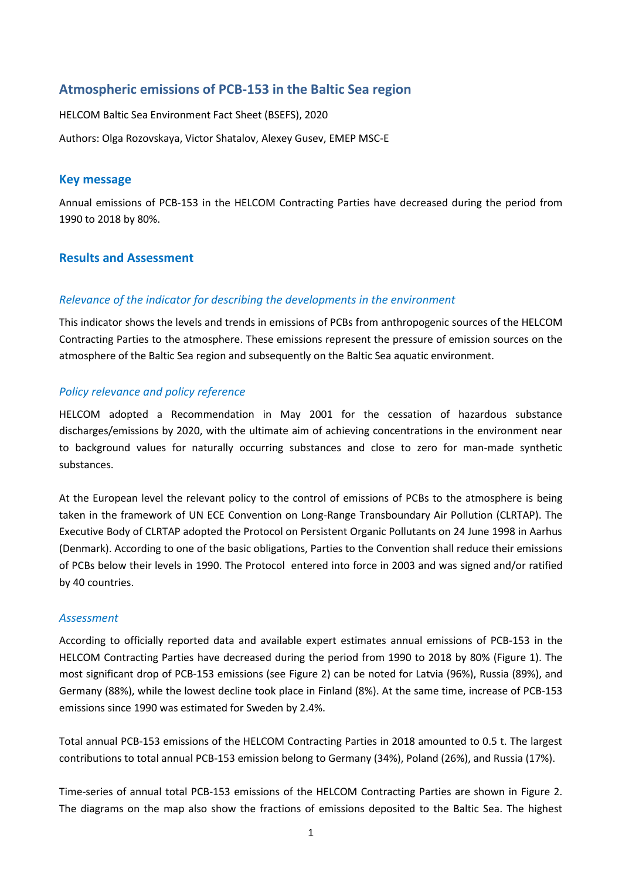# **Atmospheric emissions of PCB-153 in the Baltic Sea region**

HELCOM Baltic Sea Environment Fact Sheet (BSEFS), 2020 Authors: Olga Rozovskaya, Victor Shatalov, Alexey Gusev, EMEP MSC-E

### **Key message**

Annual emissions of PCB-153 in the HELCOM Contracting Parties have decreased during the period from 1990 to 2018 by 80%.

## **Results and Assessment**

## *Relevance of the indicator for describing the developments in the environment*

This indicator shows the levels and trends in emissions of PCBs from anthropogenic sources of the HELCOM Contracting Parties to the atmosphere. These emissions represent the pressure of emission sources on the atmosphere of the Baltic Sea region and subsequently on the Baltic Sea aquatic environment.

## *Policy relevance and policy reference*

HELCOM adopted a Recommendation in May 2001 for the cessation of hazardous substance discharges/emissions by 2020, with the ultimate aim of achieving concentrations in the environment near to background values for naturally occurring substances and close to zero for man-made synthetic substances.

At the European level the relevant policy to the control of emissions of PCBs to the atmosphere is being taken in the framework of UN ECE Convention on Long-Range Transboundary Air Pollution (CLRTAP). The Executive Body of CLRTAP adopted the Protocol on Persistent Organic Pollutants on 24 June 1998 in Aarhus (Denmark). According to one of the basic obligations, Parties to the Convention shall reduce their emissions of PCBs below their levels in 1990. The Protocol entered into force in 2003 and was signed and/or ratified by 40 countries.

### *Assessment*

According to officially reported data and available expert estimates annual emissions of PCB-153 in the HELCOM Contracting Parties have decreased during the period from 1990 to 2018 by 80% (Figure 1). The most significant drop of PCB-153 emissions (see Figure 2) can be noted for Latvia (96%), Russia (89%), and Germany (88%), while the lowest decline took place in Finland (8%). At the same time, increase of PCB-153 emissions since 1990 was estimated for Sweden by 2.4%.

Total annual PCB-153 emissions of the HELCOM Contracting Parties in 2018 amounted to 0.5 t. The largest contributions to total annual PCB-153 emission belong to Germany (34%), Poland (26%), and Russia (17%).

Time-series of annual total PCB-153 emissions of the HELCOM Contracting Parties are shown in Figure 2. The diagrams on the map also show the fractions of emissions deposited to the Baltic Sea. The highest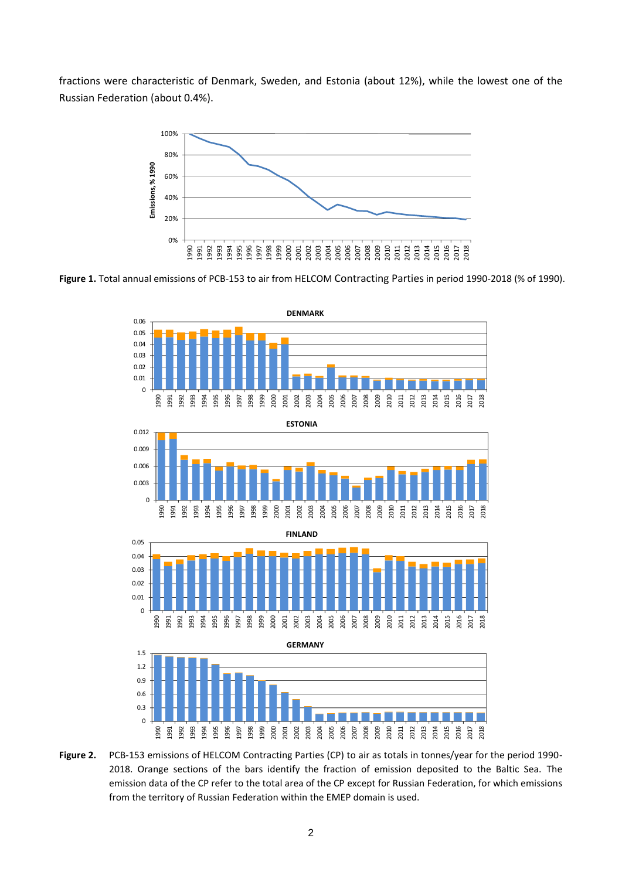fractions were characteristic of Denmark, Sweden, and Estonia (about 12%), while the lowest one of the Russian Federation (about 0.4%).



**Figure 1.** Total annual emissions of PCB-153 to air from HELCOM Contracting Parties in period 1990-2018 (% of 1990).



**Figure 2.** PCB-153 emissions of HELCOM Contracting Parties (CP) to air as totals in tonnes/year for the period 1990- 2018. Orange sections of the bars identify the fraction of emission deposited to the Baltic Sea. The emission data of the CP refer to the total area of the CP except for Russian Federation, for which emissions from the territory of Russian Federation within the EMEP domain is used.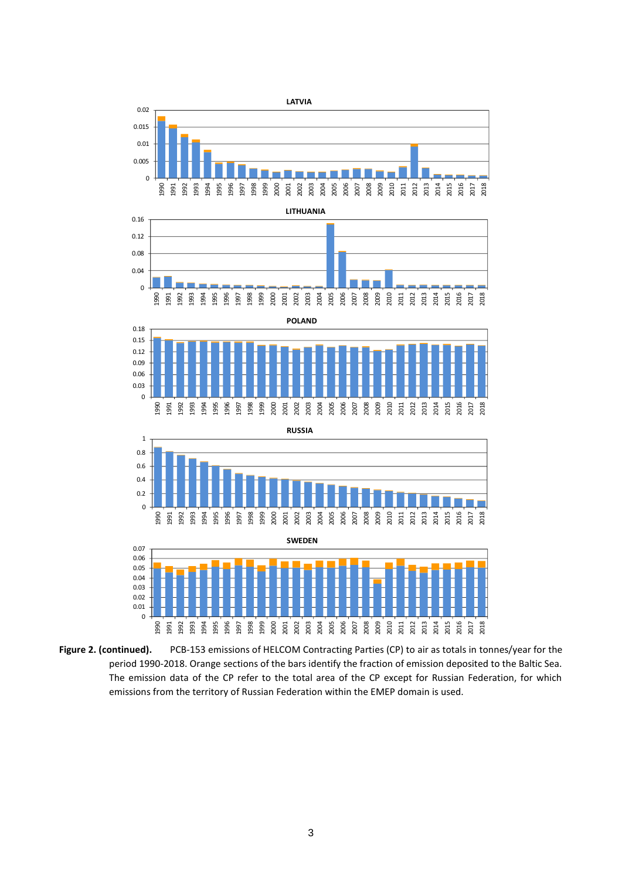

**Figure 2. (continued).** PCB-153 emissions of HELCOM Contracting Parties (CP) to air as totals in tonnes/year for the period 1990-2018. Orange sections of the bars identify the fraction of emission deposited to the Baltic Sea. The emission data of the CP refer to the total area of the CP except for Russian Federation, for which emissions from the territory of Russian Federation within the EMEP domain is used.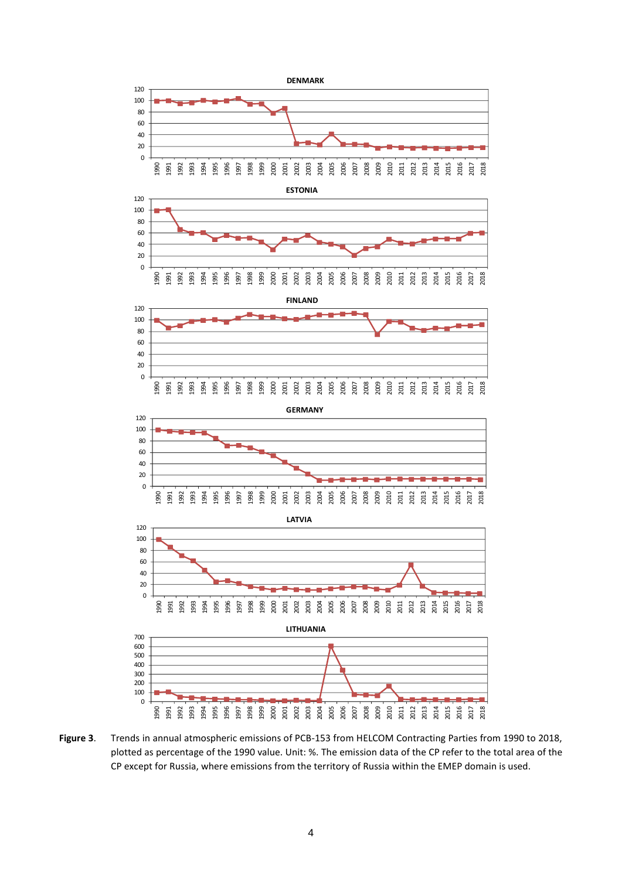

**Figure 3**. Trends in annual atmospheric emissions of PCB-153 from HELCOM Contracting Parties from 1990 to 2018, plotted as percentage of the 1990 value. Unit: %. The emission data of the CP refer to the total area of the CP except for Russia, where emissions from the territory of Russia within the EMEP domain is used.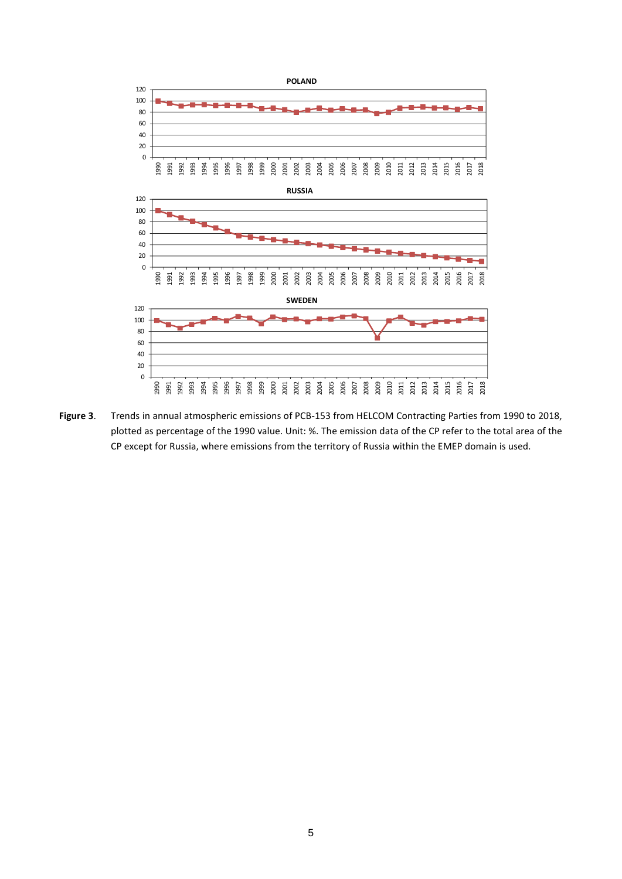

**Figure 3**. Trends in annual atmospheric emissions of PCB-153 from HELCOM Contracting Parties from 1990 to 2018, plotted as percentage of the 1990 value. Unit: %. The emission data of the CP refer to the total area of the CP except for Russia, where emissions from the territory of Russia within the EMEP domain is used.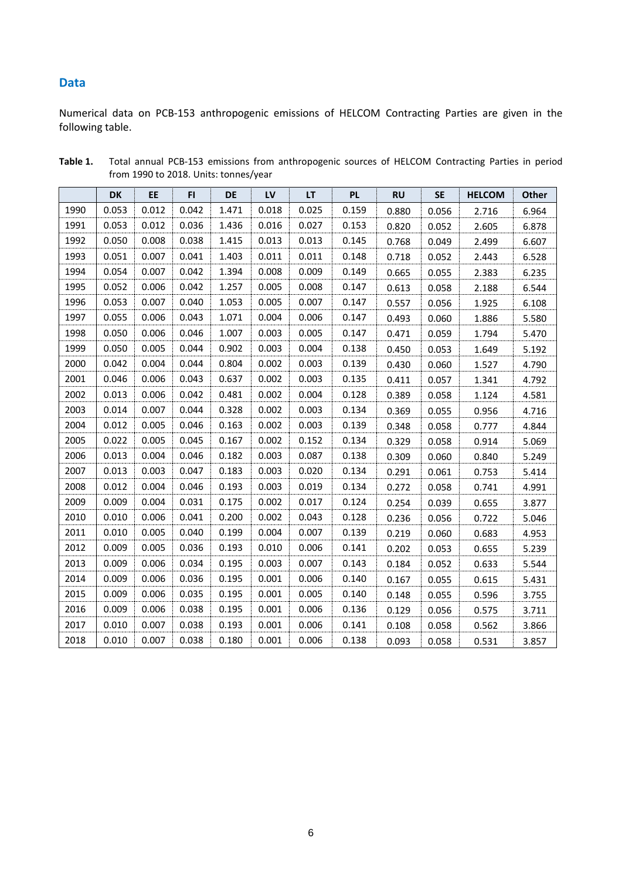## **Data**

Numerical data on PCB-153 anthropogenic emissions of HELCOM Contracting Parties are given in the following table.

|      | <b>DK</b> | EE    | FI.   | <b>DE</b> | LV    | LT.   | <b>PL</b> | <b>RU</b> | <b>SE</b> | <b>HELCOM</b> | Other |
|------|-----------|-------|-------|-----------|-------|-------|-----------|-----------|-----------|---------------|-------|
| 1990 | 0.053     | 0.012 | 0.042 | 1.471     | 0.018 | 0.025 | 0.159     | 0.880     | 0.056     | 2.716         | 6.964 |
| 1991 | 0.053     | 0.012 | 0.036 | 1.436     | 0.016 | 0.027 | 0.153     | 0.820     | 0.052     | 2.605         | 6.878 |
| 1992 | 0.050     | 0.008 | 0.038 | 1.415     | 0.013 | 0.013 | 0.145     | 0.768     | 0.049     | 2.499         | 6.607 |
| 1993 | 0.051     | 0.007 | 0.041 | 1.403     | 0.011 | 0.011 | 0.148     | 0.718     | 0.052     | 2.443         | 6.528 |
| 1994 | 0.054     | 0.007 | 0.042 | 1.394     | 0.008 | 0.009 | 0.149     | 0.665     | 0.055     | 2.383         | 6.235 |
| 1995 | 0.052     | 0.006 | 0.042 | 1.257     | 0.005 | 0.008 | 0.147     | 0.613     | 0.058     | 2.188         | 6.544 |
| 1996 | 0.053     | 0.007 | 0.040 | 1.053     | 0.005 | 0.007 | 0.147     | 0.557     | 0.056     | 1.925         | 6.108 |
| 1997 | 0.055     | 0.006 | 0.043 | 1.071     | 0.004 | 0.006 | 0.147     | 0.493     | 0.060     | 1.886         | 5.580 |
| 1998 | 0.050     | 0.006 | 0.046 | 1.007     | 0.003 | 0.005 | 0.147     | 0.471     | 0.059     | 1.794         | 5.470 |
| 1999 | 0.050     | 0.005 | 0.044 | 0.902     | 0.003 | 0.004 | 0.138     | 0.450     | 0.053     | 1.649         | 5.192 |
| 2000 | 0.042     | 0.004 | 0.044 | 0.804     | 0.002 | 0.003 | 0.139     | 0.430     | 0.060     | 1.527         | 4.790 |
| 2001 | 0.046     | 0.006 | 0.043 | 0.637     | 0.002 | 0.003 | 0.135     | 0.411     | 0.057     | 1.341         | 4.792 |
| 2002 | 0.013     | 0.006 | 0.042 | 0.481     | 0.002 | 0.004 | 0.128     | 0.389     | 0.058     | 1.124         | 4.581 |
| 2003 | 0.014     | 0.007 | 0.044 | 0.328     | 0.002 | 0.003 | 0.134     | 0.369     | 0.055     | 0.956         | 4.716 |
| 2004 | 0.012     | 0.005 | 0.046 | 0.163     | 0.002 | 0.003 | 0.139     | 0.348     | 0.058     | 0.777         | 4.844 |
| 2005 | 0.022     | 0.005 | 0.045 | 0.167     | 0.002 | 0.152 | 0.134     | 0.329     | 0.058     | 0.914         | 5.069 |
| 2006 | 0.013     | 0.004 | 0.046 | 0.182     | 0.003 | 0.087 | 0.138     | 0.309     | 0.060     | 0.840         | 5.249 |
| 2007 | 0.013     | 0.003 | 0.047 | 0.183     | 0.003 | 0.020 | 0.134     | 0.291     | 0.061     | 0.753         | 5.414 |
| 2008 | 0.012     | 0.004 | 0.046 | 0.193     | 0.003 | 0.019 | 0.134     | 0.272     | 0.058     | 0.741         | 4.991 |
| 2009 | 0.009     | 0.004 | 0.031 | 0.175     | 0.002 | 0.017 | 0.124     | 0.254     | 0.039     | 0.655         | 3.877 |
| 2010 | 0.010     | 0.006 | 0.041 | 0.200     | 0.002 | 0.043 | 0.128     | 0.236     | 0.056     | 0.722         | 5.046 |
| 2011 | 0.010     | 0.005 | 0.040 | 0.199     | 0.004 | 0.007 | 0.139     | 0.219     | 0.060     | 0.683         | 4.953 |
| 2012 | 0.009     | 0.005 | 0.036 | 0.193     | 0.010 | 0.006 | 0.141     | 0.202     | 0.053     | 0.655         | 5.239 |
| 2013 | 0.009     | 0.006 | 0.034 | 0.195     | 0.003 | 0.007 | 0.143     | 0.184     | 0.052     | 0.633         | 5.544 |
| 2014 | 0.009     | 0.006 | 0.036 | 0.195     | 0.001 | 0.006 | 0.140     | 0.167     | 0.055     | 0.615         | 5.431 |
| 2015 | 0.009     | 0.006 | 0.035 | 0.195     | 0.001 | 0.005 | 0.140     | 0.148     | 0.055     | 0.596         | 3.755 |
| 2016 | 0.009     | 0.006 | 0.038 | 0.195     | 0.001 | 0.006 | 0.136     | 0.129     | 0.056     | 0.575         | 3.711 |
| 2017 | 0.010     | 0.007 | 0.038 | 0.193     | 0.001 | 0.006 | 0.141     | 0.108     | 0.058     | 0.562         | 3.866 |
| 2018 | 0.010     | 0.007 | 0.038 | 0.180     | 0.001 | 0.006 | 0.138     | 0.093     | 0.058     | 0.531         | 3.857 |

**Table 1.** Total annual PCB-153 emissions from anthropogenic sources of HELCOM Contracting Parties in period from 1990 to 2018. Units: tonnes/year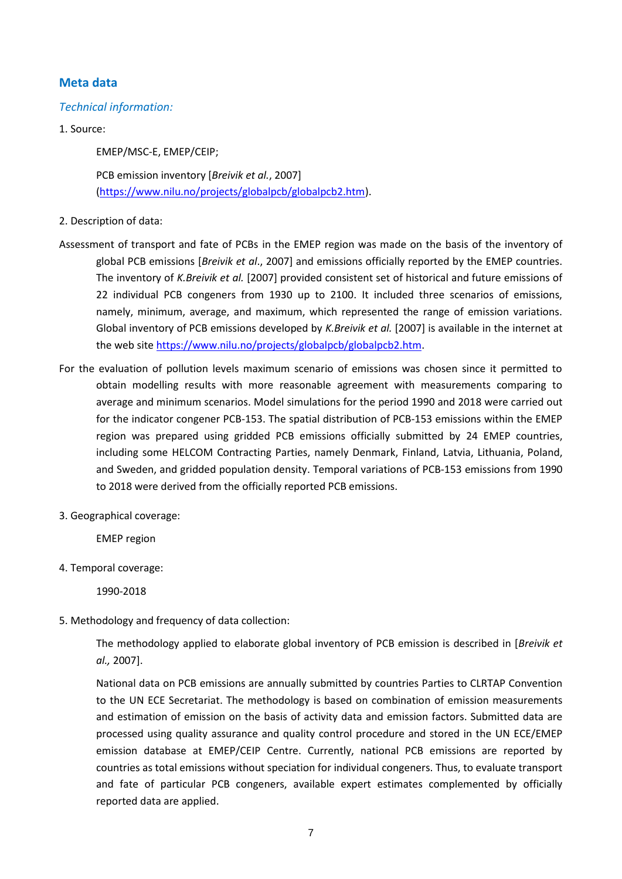## **Meta data**

### *Technical information:*

1. Source:

EMEP/MSC-E, EMEP/CEIP;

PCB emission inventory [*Breivik et al.*, 2007] [\(https://www.nilu.no/projects/globalpcb/globalpcb2.htm\)](https://www.nilu.no/projects/globalpcb/globalpcb2.htm).

### 2. Description of data:

- Assessment of transport and fate of PCBs in the EMEP region was made on the basis of the inventory of global PCB emissions [*Breivik et al*., 2007] and emissions officially reported by the EMEP countries. The inventory of *K.Breivik et al.* [2007] provided consistent set of historical and future emissions of 22 individual PCB congeners from 1930 up to 2100. It included three scenarios of emissions, namely, minimum, average, and maximum, which represented the range of emission variations. Global inventory of PCB emissions developed by *K.Breivik et al.* [2007] is available in the internet at the web sit[e https://www.nilu.no/projects/globalpcb/globalpcb2.htm.](https://www.nilu.no/projects/globalpcb/globalpcb2.htm)
- For the evaluation of pollution levels maximum scenario of emissions was chosen since it permitted to obtain modelling results with more reasonable agreement with measurements comparing to average and minimum scenarios. Model simulations for the period 1990 and 2018 were carried out for the indicator congener PCB-153. The spatial distribution of PCB-153 emissions within the EMEP region was prepared using gridded PCB emissions officially submitted by 24 EMEP countries, including some HELCOM Contracting Parties, namely Denmark, Finland, Latvia, Lithuania, Poland, and Sweden, and gridded population density. Temporal variations of PCB-153 emissions from 1990 to 2018 were derived from the officially reported PCB emissions.
- 3. Geographical coverage:

EMEP region

4. Temporal coverage:

1990-2018

5. Methodology and frequency of data collection:

The methodology applied to elaborate global inventory of PCB emission is described in [*Breivik et al.,* 2007].

National data on PCB emissions are annually submitted by countries Parties to CLRTAP Convention to the UN ECE Secretariat. The methodology is based on combination of emission measurements and estimation of emission on the basis of activity data and emission factors. Submitted data are processed using quality assurance and quality control procedure and stored in the UN ECE/EMEP emission database at EMEP/CEIP Centre. Currently, national PCB emissions are reported by countries as total emissions without speciation for individual congeners. Thus, to evaluate transport and fate of particular PCB congeners, available expert estimates complemented by officially reported data are applied.